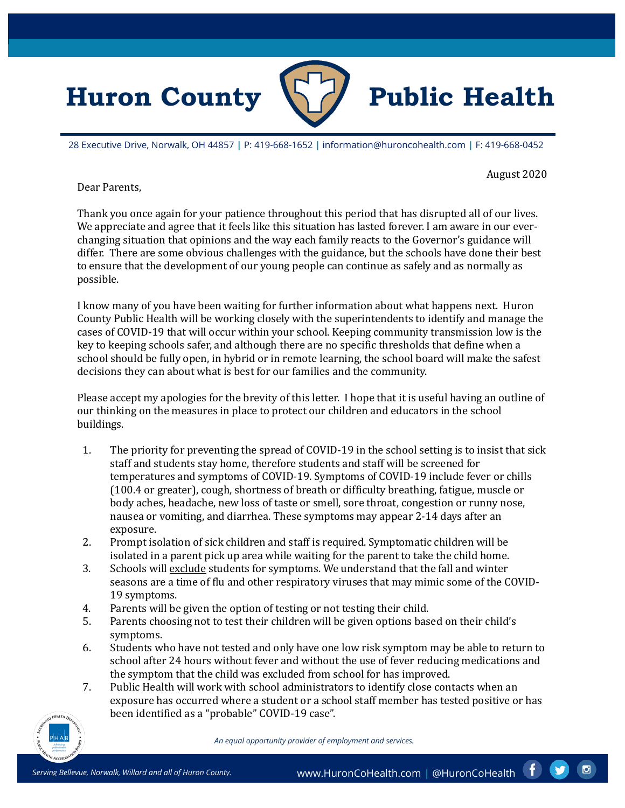

28 Executive Drive, Norwalk, OH 44857 **|** P: 419-668-1652 **|** information@huroncohealth.com **|** F: 419-668-0452

## August 2020

Dear Parents,

Thank you once again for your patience throughout this period that has disrupted all of our lives. We appreciate and agree that it feels like this situation has lasted forever. I am aware in our everchanging situation that opinions and the way each family reacts to the Governor's guidance will differ. There are some obvious challenges with the guidance, but the schools have done their best to ensure that the development of our young people can continue as safely and as normally as possible.

I know many of you have been waiting for further information about what happens next. Huron County Public Health will be working closely with the superintendents to identify and manage the cases of COVID-19 that will occur within your school. Keeping community transmission low is the key to keeping schools safer, and although there are no specific thresholds that define when a school should be fully open, in hybrid or in remote learning, the school board will make the safest decisions they can about what is best for our families and the community.

Please accept my apologies for the brevity of this letter. I hope that it is useful having an outline of our thinking on the measures in place to protect our children and educators in the school buildings.

- 1. The priority for preventing the spread of COVID-19 in the school setting is to insist that sick staff and students stay home, therefore students and staff will be screened for temperatures and symptoms of COVID-19. Symptoms of COVID-19 include fever or chills (100.4 or greater), cough, shortness of breath or difficulty breathing, fatigue, muscle or body aches, headache, new loss of taste or smell, sore throat, congestion or runny nose, nausea or vomiting, and diarrhea. These symptoms may appear 2-14 days after an exposure.
- 2. Prompt isolation of sick children and staff is required. Symptomatic children will be isolated in a parent pick up area while waiting for the parent to take the child home.
- 3. Schools will exclude students for symptoms. We understand that the fall and winter seasons are a time of flu and other respiratory viruses that may mimic some of the COVID-19 symptoms.
- 4. Parents will be given the option of testing or not testing their child.<br>5. Parents choosing not to test their children will be given options bas
- 5. Parents choosing not to test their children will be given options based on their child's symptoms.
- 6. Students who have not tested and only have one low risk symptom may be able to return to school after 24 hours without fever and without the use of fever reducing medications and the symptom that the child was excluded from school for has improved.
- 7. Public Health will work with school administrators to identify close contacts when an exposure has occurred where a student or a school staff member has tested positive or has been identified as a "probable" COVID-19 case".



*An equal opportunity provider of employment and services.*

 $\bullet$